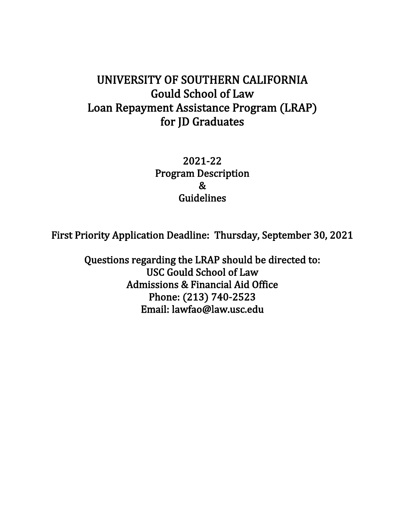# UNIVERSITY OF SOUTHERN CALIFORNIA Gould School of Law Loan Repayment Assistance Program (LRAP) for JD Graduates

2021-22 Program Description & Guidelines

First Priority Application Deadline: Thursday, September 30, 2021

Questions regarding the LRAP should be directed to: USC Gould School of Law Admissions & Financial Aid Office Phone: (213) 740-2523 Email: lawfao@law.usc.edu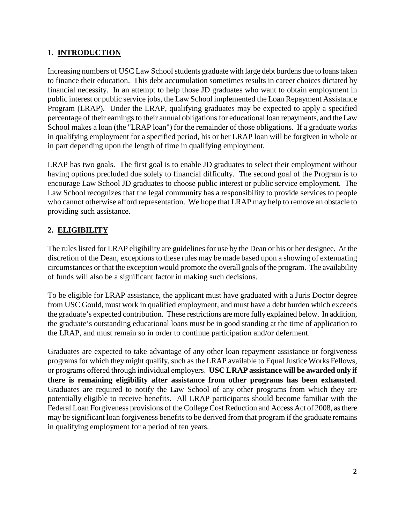# **1. INTRODUCTION**

Increasing numbers of USC Law School students graduate with large debt burdens due to loans taken to finance their education. This debt accumulation sometimes results in career choices dictated by financial necessity. In an attempt to help those JD graduates who want to obtain employment in public interest or public service jobs, the Law School implemented the Loan Repayment Assistance Program (LRAP). Under the LRAP, qualifying graduates may be expected to apply a specified percentage of their earnings to their annual obligations for educational loan repayments, and the Law School makes a loan (the "LRAP loan") for the remainder of those obligations. If a graduate works in qualifying employment for a specified period, his or her LRAP loan will be forgiven in whole or in part depending upon the length of time in qualifying employment.

LRAP has two goals. The first goal is to enable JD graduates to select their employment without having options precluded due solely to financial difficulty. The second goal of the Program is to encourage Law School JD graduates to choose public interest or public service employment. The Law School recognizes that the legal community has a responsibility to provide services to people who cannot otherwise afford representation. We hope that LRAP may help to remove an obstacle to providing such assistance.

# **2. ELIGIBILITY**

The rules listed for LRAP eligibility are guidelines for use by the Dean or his or her designee. At the discretion of the Dean, exceptions to these rules may be made based upon a showing of extenuating circumstances or that the exception would promote the overall goals of the program. The availability of funds will also be a significant factor in making such decisions.

To be eligible for LRAP assistance, the applicant must have graduated with a Juris Doctor degree from USC Gould, must work in qualified employment, and must have a debt burden which exceeds the graduate's expected contribution. These restrictions are more fully explained below. In addition, the graduate's outstanding educational loans must be in good standing at the time of application to the LRAP, and must remain so in order to continue participation and/or deferment.

Graduates are expected to take advantage of any other loan repayment assistance or forgiveness programs for which they might qualify, such as the LRAP available to Equal Justice Works Fellows, or programs offered through individual employers. **USC LRAP assistance will be awarded only if there is remaining eligibility after assistance from other programs has been exhausted**. Graduates are required to notify the Law School of any other programs from which they are potentially eligible to receive benefits. All LRAP participants should become familiar with the Federal Loan Forgiveness provisions of the College Cost Reduction and Access Act of 2008, as there may be significant loan forgiveness benefits to be derived from that program if the graduate remains in qualifying employment for a period of ten years.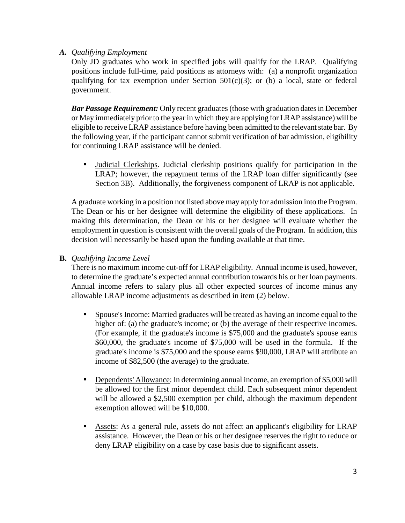## *A. Qualifying Employment*

Only JD graduates who work in specified jobs will qualify for the LRAP. Qualifying positions include full-time, paid positions as attorneys with: (a) a nonprofit organization qualifying for tax exemption under Section  $501(c)(3)$ ; or (b) a local, state or federal government.

*Bar Passage Requirement:* Only recent graduates (those with graduation dates in December or May immediately prior to the year in which they are applying for LRAP assistance) will be eligible to receive LRAP assistance before having been admitted to the relevant state bar. By the following year, if the participant cannot submit verification of bar admission, eligibility for continuing LRAP assistance will be denied.

 Judicial Clerkships. Judicial clerkship positions qualify for participation in the LRAP; however, the repayment terms of the LRAP loan differ significantly (see Section 3B). Additionally, the forgiveness component of LRAP is not applicable.

A graduate working in a position not listed above may apply for admission into the Program. The Dean or his or her designee will determine the eligibility of these applications. In making this determination, the Dean or his or her designee will evaluate whether the employment in question is consistent with the overall goals of the Program. In addition, this decision will necessarily be based upon the funding available at that time.

## **B.** *Qualifying Income Level*

There is no maximum income cut-off for LRAP eligibility. Annual income is used, however, to determine the graduate's expected annual contribution towards his or her loan payments. Annual income refers to salary plus all other expected sources of income minus any allowable LRAP income adjustments as described in item (2) below.

- **Spouse's Income:** Married graduates will be treated as having an income equal to the higher of: (a) the graduate's income; or (b) the average of their respective incomes. (For example, if the graduate's income is \$75,000 and the graduate's spouse earns \$60,000, the graduate's income of \$75,000 will be used in the formula. If the graduate's income is \$75,000 and the spouse earns \$90,000, LRAP will attribute an income of \$82,500 (the average) to the graduate.
- Dependents' Allowance: In determining annual income, an exemption of \$5,000 will be allowed for the first minor dependent child. Each subsequent minor dependent will be allowed a \$2,500 exemption per child, although the maximum dependent exemption allowed will be \$10,000.
- Assets: As a general rule, assets do not affect an applicant's eligibility for LRAP assistance. However, the Dean or his or her designee reserves the right to reduce or deny LRAP eligibility on a case by case basis due to significant assets.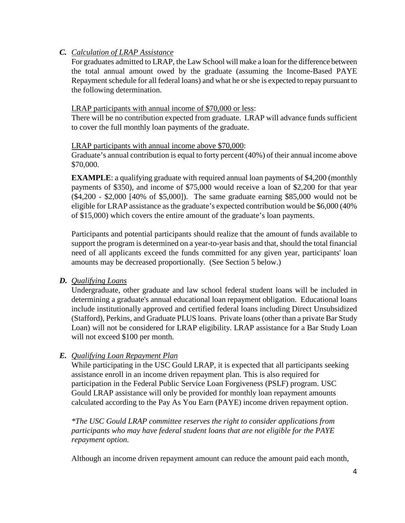## *C. Calculation of LRAP Assistance*

For graduates admitted to LRAP, the Law School will make a loan for the difference between the total annual amount owed by the graduate (assuming the Income-Based PAYE Repayment schedule for all federal loans) and what he or she is expected to repay pursuant to the following determination.

#### LRAP participants with annual income of \$70,000 or less:

There will be no contribution expected from graduate. LRAP will advance funds sufficient to cover the full monthly loan payments of the graduate.

#### LRAP participants with annual income above \$70,000:

Graduate's annual contribution is equal to forty percent (40%) of their annual income above \$70,000.

**EXAMPLE**: a qualifying graduate with required annual loan payments of \$4,200 (monthly payments of \$350), and income of \$75,000 would receive a loan of \$2,200 for that year (\$4,200 - \$2,000 [40% of \$5,000]). The same graduate earning \$85,000 would not be eligible for LRAP assistance as the graduate's expected contribution would be \$6,000 (40% of \$15,000) which covers the entire amount of the graduate's loan payments.

Participants and potential participants should realize that the amount of funds available to support the program is determined on a year-to-year basis and that, should the total financial need of all applicants exceed the funds committed for any given year, participants' loan amounts may be decreased proportionally. (See Section 5 below.)

#### *D. Qualifying Loans*

Undergraduate, other graduate and law school federal student loans will be included in determining a graduate's annual educational loan repayment obligation. Educational loans include institutionally approved and certified federal loans including Direct Unsubsidized (Stafford), Perkins, and Graduate PLUS loans. Private loans(other than a private Bar Study Loan) will not be considered for LRAP eligibility. LRAP assistance for a Bar Study Loan will not exceed \$100 per month.

## *E. Qualifying Loan Repayment Plan*

While participating in the USC Gould LRAP, it is expected that all participants seeking assistance enroll in an income driven repayment plan. This is also required for participation in the Federal Public Service Loan Forgiveness (PSLF) program. USC Gould LRAP assistance will only be provided for monthly loan repayment amounts calculated according to the Pay As You Earn (PAYE) income driven repayment option.

*\*The USC Gould LRAP committee reserves the right to consider applications from participants who may have federal student loans that are not eligible for the PAYE repayment option.* 

Although an income driven repayment amount can reduce the amount paid each month,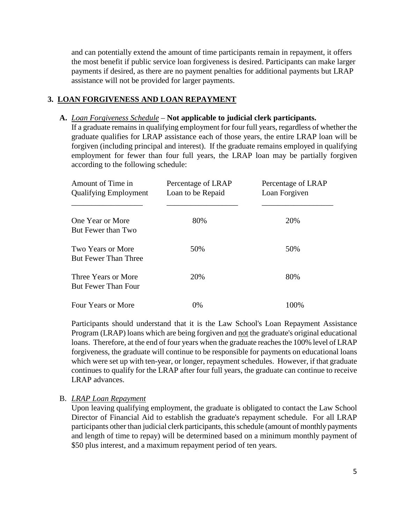and can potentially extend the amount of time participants remain in repayment, it offers the most benefit if public service loan forgiveness is desired. Participants can make larger payments if desired, as there are no payment penalties for additional payments but LRAP assistance will not be provided for larger payments.

## **3. LOAN FORGIVENESS AND LOAN REPAYMENT**

## **A.** *Loan Forgiveness Schedule* – **Not applicable to judicial clerk participants.**

If a graduate remains in qualifying employment for four full years, regardless of whether the graduate qualifies for LRAP assistance each of those years, the entire LRAP loan will be forgiven (including principal and interest). If the graduate remains employed in qualifying employment for fewer than four full years, the LRAP loan may be partially forgiven according to the following schedule:

| Amount of Time in<br><b>Qualifying Employment</b> | Percentage of LRAP<br>Loan to be Repaid | Percentage of LRAP<br>Loan Forgiven |
|---------------------------------------------------|-----------------------------------------|-------------------------------------|
| One Year or More<br>But Fewer than Two            | 80%                                     | 20%                                 |
| Two Years or More<br><b>But Fewer Than Three</b>  | 50%                                     | 50%                                 |
| Three Years or More<br><b>But Fewer Than Four</b> | 20%                                     | 80%                                 |
| Four Years or More                                | 0%                                      | 100%                                |

Participants should understand that it is the Law School's Loan Repayment Assistance Program (LRAP) loans which are being forgiven and not the graduate's original educational loans. Therefore, at the end of four years when the graduate reaches the 100% level of LRAP forgiveness, the graduate will continue to be responsible for payments on educational loans which were set up with ten-year, or longer, repayment schedules. However, if that graduate continues to qualify for the LRAP after four full years, the graduate can continue to receive LRAP advances.

#### B. *LRAP Loan Repayment*

Upon leaving qualifying employment, the graduate is obligated to contact the Law School Director of Financial Aid to establish the graduate's repayment schedule. For all LRAP participants other than judicial clerk participants, this schedule (amount of monthly payments and length of time to repay) will be determined based on a minimum monthly payment of \$50 plus interest, and a maximum repayment period of ten years.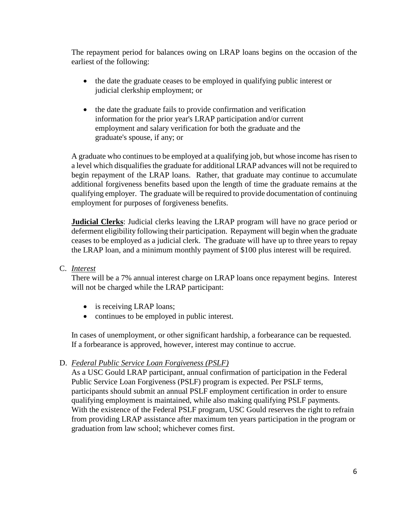The repayment period for balances owing on LRAP loans begins on the occasion of the earliest of the following:

- the date the graduate ceases to be employed in qualifying public interest or judicial clerkship employment; or
- the date the graduate fails to provide confirmation and verification information for the prior year's LRAP participation and/or current employment and salary verification for both the graduate and the graduate's spouse, if any; or

A graduate who continues to be employed at a qualifying job, but whose income has risen to a level which disqualifies the graduate for additional LRAP advances will not be required to begin repayment of the LRAP loans. Rather, that graduate may continue to accumulate additional forgiveness benefits based upon the length of time the graduate remains at the qualifying employer. The graduate will be required to provide documentation of continuing employment for purposes of forgiveness benefits.

**Judicial Clerks**: Judicial clerks leaving the LRAP program will have no grace period or deferment eligibility following their participation. Repayment will begin when the graduate ceases to be employed as a judicial clerk. The graduate will have up to three years to repay the LRAP loan, and a minimum monthly payment of \$100 plus interest will be required.

C. *Interest*

There will be a 7% annual interest charge on LRAP loans once repayment begins. Interest will not be charged while the LRAP participant:

- is receiving LRAP loans;
- continues to be employed in public interest.

In cases of unemployment, or other significant hardship, a forbearance can be requested. If a forbearance is approved, however, interest may continue to accrue.

## D. *Federal Public Service Loan Forgiveness (PSLF)*

As a USC Gould LRAP participant, annual confirmation of participation in the Federal Public Service Loan Forgiveness (PSLF) program is expected. Per PSLF terms, participants should submit an annual PSLF employment certification in order to ensure qualifying employment is maintained, while also making qualifying PSLF payments. With the existence of the Federal PSLF program, USC Gould reserves the right to refrain from providing LRAP assistance after maximum ten years participation in the program or graduation from law school; whichever comes first.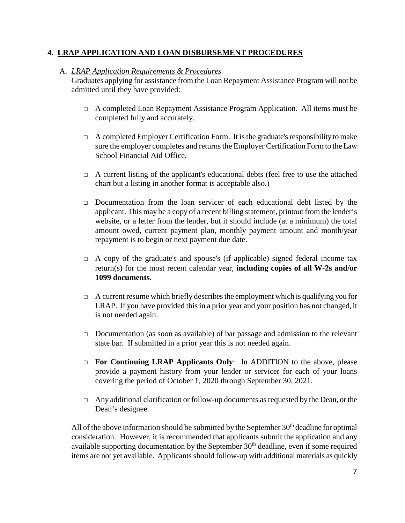## **4. LRAP APPLICATION AND LOAN DISBURSEMENT PROCEDURES**

## A. *LRAP Application Requirements & Procedures*

Graduates applying for assistance from the Loan Repayment Assistance Program will not be admitted until they have provided:

- □ A completed Loan Repayment Assistance Program Application. All items must be completed fully and accurately.
- $\Box$  A completed Employer Certification Form. It is the graduate's responsibility to make sure the employer completes and returns the Employer Certification Form to the Law School Financial Aid Office.
- $\Box$  A current listing of the applicant's educational debts (feel free to use the attached chart but a listing in another format is acceptable also.)
- □ Documentation from the loan servicer of each educational debt listed by the applicant. This may be a copy of a recent billing statement, printout from the lender's website, or a letter from the lender, but it should include (at a minimum) the total amount owed, current payment plan, monthly payment amount and month/year repayment is to begin or next payment due date.
- $\Box$  A copy of the graduate's and spouse's (if applicable) signed federal income tax return(s) for the most recent calendar year, **including copies of all W-2s and/or 1099 documents**.
- $\Box$  A current resume which briefly describes the employment which is qualifying you for LRAP. If you have provided this in a prior year and your position has not changed, it is not needed again.
- □ Documentation (as soon as available) of bar passage and admission to the relevant state bar. If submitted in a prior year this is not needed again.
- □ **For Continuing LRAP Applicants Only**: In ADDITION to the above, please provide a payment history from your lender or servicer for each of your loans covering the period of October 1, 2020 through September 30, 2021.
- □ Any additional clarification or follow-up documents as requested by the Dean, or the Dean's designee.

All of the above information should be submitted by the September  $30<sup>th</sup>$  deadline for optimal consideration. However, it is recommended that applicants submit the application and any available supporting documentation by the September  $30<sup>th</sup>$  deadline, even if some required items are not yet available. Applicants should follow-up with additional materials as quickly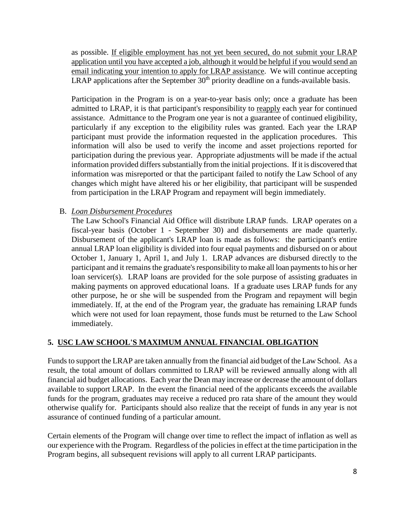as possible. If eligible employment has not yet been secured, do not submit your LRAP application until you have accepted a job, although it would be helpful if you would send an email indicating your intention to apply for LRAP assistance. We will continue accepting LRAP applications after the September  $30<sup>th</sup>$  priority deadline on a funds-available basis.

Participation in the Program is on a year-to-year basis only; once a graduate has been admitted to LRAP, it is that participant's responsibility to reapply each year for continued assistance. Admittance to the Program one year is not a guarantee of continued eligibility, particularly if any exception to the eligibility rules was granted. Each year the LRAP participant must provide the information requested in the application procedures. This information will also be used to verify the income and asset projections reported for participation during the previous year. Appropriate adjustments will be made if the actual information provided differs substantially from the initial projections. If it is discovered that information was misreported or that the participant failed to notify the Law School of any changes which might have altered his or her eligibility, that participant will be suspended from participation in the LRAP Program and repayment will begin immediately.

## B. *Loan Disbursement Procedures*

The Law School's Financial Aid Office will distribute LRAP funds. LRAP operates on a fiscal-year basis (October 1 - September 30) and disbursements are made quarterly. Disbursement of the applicant's LRAP loan is made as follows: the participant's entire annual LRAP loan eligibility is divided into four equal payments and disbursed on or about October 1, January 1, April 1, and July 1. LRAP advances are disbursed directly to the participant and it remains the graduate's responsibility to make all loan payments to his or her loan servicer(s). LRAP loans are provided for the sole purpose of assisting graduates in making payments on approved educational loans. If a graduate uses LRAP funds for any other purpose, he or she will be suspended from the Program and repayment will begin immediately. If, at the end of the Program year, the graduate has remaining LRAP funds which were not used for loan repayment, those funds must be returned to the Law School immediately.

## **5. USC LAW SCHOOL'S MAXIMUM ANNUAL FINANCIAL OBLIGATION**

Funds to support the LRAP are taken annually from the financial aid budget of the Law School. As a result, the total amount of dollars committed to LRAP will be reviewed annually along with all financial aid budget allocations. Each year the Dean may increase or decrease the amount of dollars available to support LRAP. In the event the financial need of the applicants exceeds the available funds for the program, graduates may receive a reduced pro rata share of the amount they would otherwise qualify for. Participants should also realize that the receipt of funds in any year is not assurance of continued funding of a particular amount.

Certain elements of the Program will change over time to reflect the impact of inflation as well as our experience with the Program. Regardless of the policies in effect at the time participation in the Program begins, all subsequent revisions will apply to all current LRAP participants.